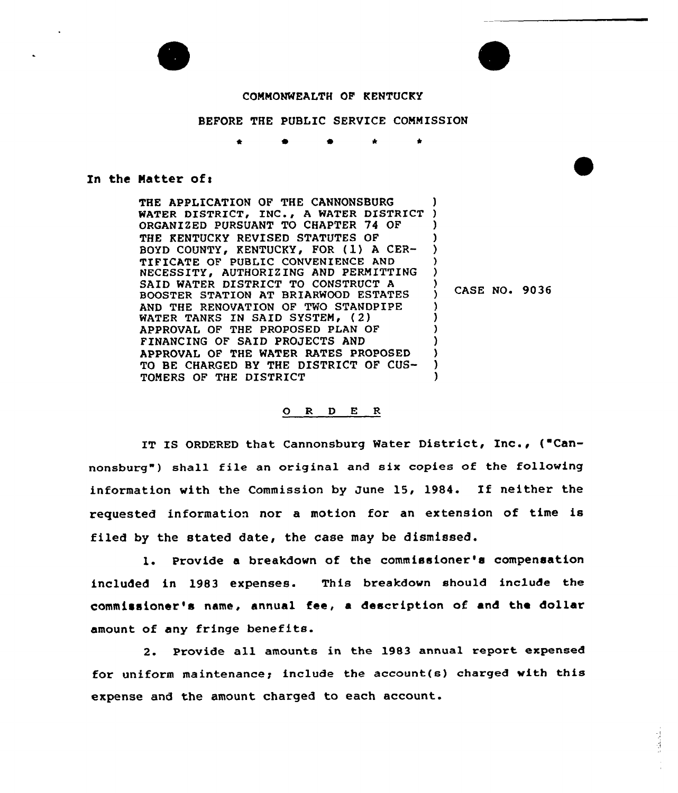

## COMMONWEALTH OF KENTUCKY

BEFORE THE PUBLIC SERVICE COMMISSION

## In the Matter of:

THE APPLICATION OF THE CANNONSBURG WATER DISTRICT, INC., A WATER DISTRICT ) ORGANIZED PURSUANT TO CHAPTER 74 OF THE KENTUCKY REVISED STATUTES OF BOYD COUNTY, KENTUCKY, FOR (1) A CER-TIFICATE OF PUBLIC CONVENIENCE AND NECESSITY, AUTHORIZING AND PERMITTING SAID WATER DISTRICT TO CONSTRUCT <sup>A</sup> BOOSTER STATION AT BRIARWOOD ESTATES AND THE RENOVATION OF TWO STANDPIPE WATER TANKS IN SAID SYSTEM, (2) APPROVAL OF THE PROPOSED PLAN OF FINANCING OF SAID PROJECTS AND APPROVAL OF THE WATER RATES PROPOSED TO BE CHARGED BY THE DISTRICT OF CUS-TOMERS OF THE DISTRICT ) ) ) ) ) ) CASE NO. 9036 ) ) ) ) ) )

## ORDER

IT IS ORDERED that Cannonsburg Water District, Inc., ("Cannonsburg") shall file an original and six copies of the following information with the Commission by June 15, 1984. If neither the requested information nor a motion for an extension of time is filed by the stated date, the case may be dismissed.

l. Provide <sup>a</sup> breakdown of the commissioner's compensation included in 1983 expenses. This breakdown should include the commissioner's name, annual fee, a description of and the dollar amount of any fringe benefits.

2. Provide all amounts in the 1983 annual report expensed for uniform maintenance; include the account(s) charged with this expense and the amount charged to each account.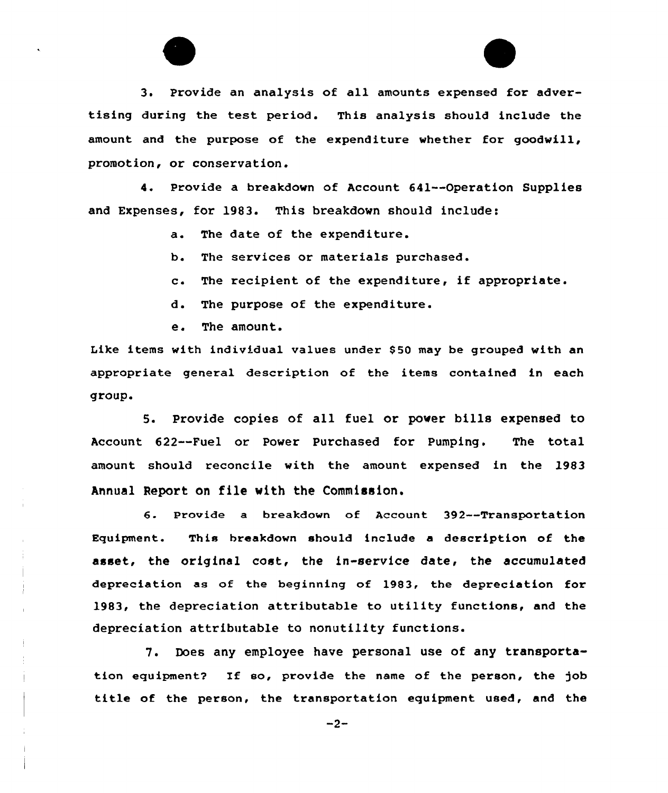3. Provide an analysis of all amounts expensed for advertising during the test period. This analysis should include the amount and the purpose of the expenditure whether for goodwill, promotion, or conservation.

4. Provide a breakdown of Account 641--Operation Supplies and Expenses, for 1983. This breakdown should include:

- a. The date of the expenditure.
- b. The services or materials purchased.
- c. The recipient of the expenditure, if appropriate.
- d. The purpose of the expenditure.
- e. The amount.

Like items with individual values under \$50 may be grouped with an appropriate general description of the items contained in each group.

5. Provide copies of all fuel or power bills expensed to Account 622--Fuel or Power Purchased for Pumping. The total amount should reconcile with the amount expensed in the 1983 Annual Report on file with the Commission.

6. Provide <sup>a</sup> breakdown of Account 392--Transportation Equipment. This breakdown should include a description of the asset, the original cost, the in-service date, the accumulated depreciation as of the beginning of 1983, the depreciation for 1983, the depreciation attributable to utility functions, and the depreciation attributable to nonutility functions.

7. Does any employee have personal use of any transportation equipment? If so, provide the name of the person, the )ob title of the person, the transportation equipment used, and the

 $-2-$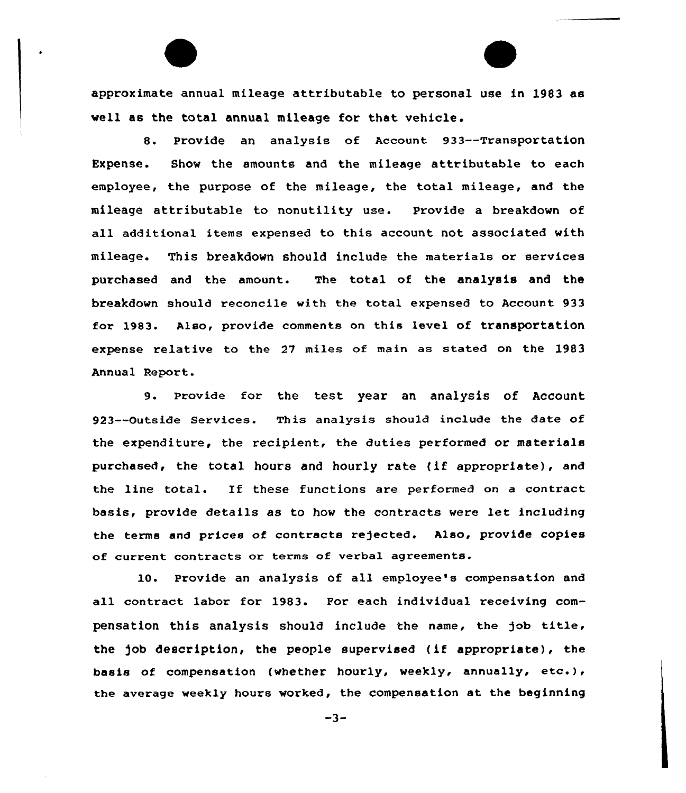approximate annual mileage attributable to personal use in 1983 as well as the total annual mileage for that vehicle.

8. Provide an analysis of Account 933--TransportatiOn Expense. Show the amounts and the mileage attributable to each employee, the purpose of the mileage, the total mileage, and the mileage attributable to nonutility use. Provide a breakdown of all additional items expensed to this account not associated with mileage. This breakdown should include the materials or services purchased and the amount. The total of the analysis and the breakdown should reconcile with the total expensed to Account 933 for 1983. Also, provide comments on this level of transportation expense relative to the 27 miles of main as stated on the 1983 Annual Report.

9. Provide for the test year an analysis of Account 923--Outside Services. This analysis should include the date of the expenditure, the recipient, the duties performed or materials purchased, the total hours and hourly rate (if appropriate), and the line total. Xf these functions are performed on <sup>a</sup> contract basis, provide details as to how the contracts were let including the terms and prices of contracts re)ected. Also, provide copies of cUrrent contracts or terms of verbal agreements.

10. Provide an analysis of all employee's compensation and all contract labor for 1983. For each individual receiving compensation this analysis should include the name, the job title, the job description, the people supervised (if appropriate), the basis of compensation (whether hourly, weekly, annually, etc.), the average weekly hours worked, the compensation at the beginning

 $-3-$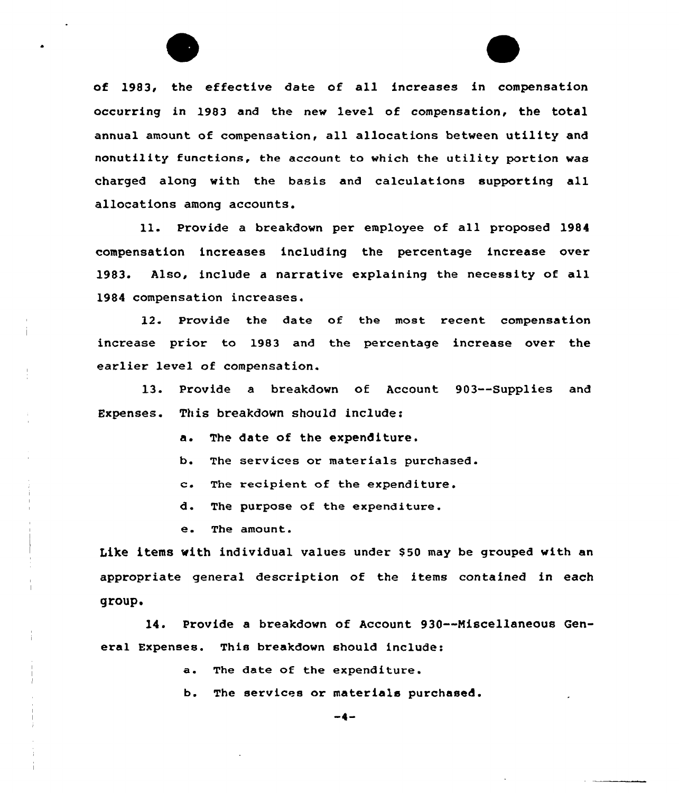of 1983, the effective date of all increases in compensation occurring in 1983 and the new level of compensation, the total annual amount of compensation, all allocations between utility and nonutility functions, the account to which the utility portion was charged along with the basis and calculations supporting all allocations among accounts.

ll. Provide <sup>a</sup> breakdown per employee of all proposed <sup>1984</sup> compensation increases including the percentage increase over 1983. Also, include a narrative explaining the necessity of all 1984 compensation increases.

12. Provide the date of the most recent compensation increase prior to 1983 and the percentage increase over the earlier level of compensation.

13. Provide a breakdown of Account 903--Supplies and Expenses. This breakdown should include:

a. The date of the expenditure.

b. The services or materials purchased.

c. The recipient of the expenditure.

d. The purpose of the expenditure.

e. The amount.

Like items with individual values under \$50 may be grouped with an appropriate general description of the items contained in each group.

14. Provide a breakdown of Account 930--Miscellaneous General Expenses. This breakdown should include:

a. The date of the expenditure.

b. The services or materials purchased.

 $-4-$